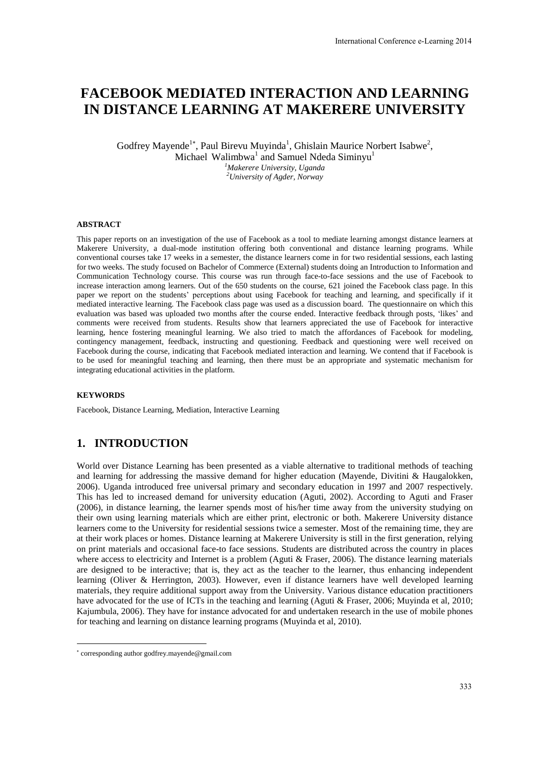# **FACEBOOK MEDIATED INTERACTION AND LEARNING IN DISTANCE LEARNING AT MAKERERE UNIVERSITY**

Godfrey Mayende<sup>1\*</sup>, Paul Birevu Muyinda<sup>1</sup>, Ghislain Maurice Norbert Isabwe<sup>2</sup>, Michael Walimbwa<sup>1</sup> and Samuel Ndeda Siminyu<sup>1</sup> *<sup>1</sup>Makerere University, Uganda <sup>2</sup>University of Agder, Norway* 

#### **ABSTRACT**

This paper reports on an investigation of the use of Facebook as a tool to mediate learning amongst distance learners at Makerere University, a dual-mode institution offering both conventional and distance learning programs. While conventional courses take 17 weeks in a semester, the distance learners come in for two residential sessions, each lasting for two weeks. The study focused on Bachelor of Commerce (External) students doing an Introduction to Information and Communication Technology course. This course was run through face-to-face sessions and the use of Facebook to increase interaction among learners. Out of the 650 students on the course, 621 joined the Facebook class page. In this paper we report on the students' perceptions about using Facebook for teaching and learning, and specifically if it mediated interactive learning. The Facebook class page was used as a discussion board. The questionnaire on which this evaluation was based was uploaded two months after the course ended. Interactive feedback through posts, 'likes' and comments were received from students. Results show that learners appreciated the use of Facebook for interactive learning, hence fostering meaningful learning. We also tried to match the affordances of Facebook for modeling, contingency management, feedback, instructing and questioning. Feedback and questioning were well received on Facebook during the course, indicating that Facebook mediated interaction and learning. We contend that if Facebook is to be used for meaningful teaching and learning, then there must be an appropriate and systematic mechanism for integrating educational activities in the platform.

#### **KEYWORDS**

<u>.</u>

Facebook, Distance Learning, Mediation, Interactive Learning

#### **1. INTRODUCTION**

World over Distance Learning has been presented as a viable alternative to traditional methods of teaching and learning for addressing the massive demand for higher education (Mayende, Divitini & Haugalokken, 2006). Uganda introduced free universal primary and secondary education in 1997 and 2007 respectively. This has led to increased demand for university education (Aguti, 2002). According to Aguti and Fraser (2006), in distance learning, the learner spends most of his/her time away from the university studying on their own using learning materials which are either print, electronic or both. Makerere University distance learners come to the University for residential sessions twice a semester. Most of the remaining time, they are at their work places or homes. Distance learning at Makerere University is still in the first generation, relying on print materials and occasional face-to face sessions. Students are distributed across the country in places where access to electricity and Internet is a problem (Aguti & Fraser, 2006). The distance learning materials are designed to be interactive; that is, they act as the teacher to the learner, thus enhancing independent learning (Oliver & Herrington, 2003). However, even if distance learners have well developed learning materials, they require additional support away from the University. Various distance education practitioners have advocated for the use of ICTs in the teaching and learning (Aguti & Fraser, 2006; Muyinda et al, 2010; Kajumbula, 2006). They have for instance advocated for and undertaken research in the use of mobile phones for teaching and learning on distance learning programs (Muyinda et al, 2010).

corresponding author godfrey.mayende@gmail.com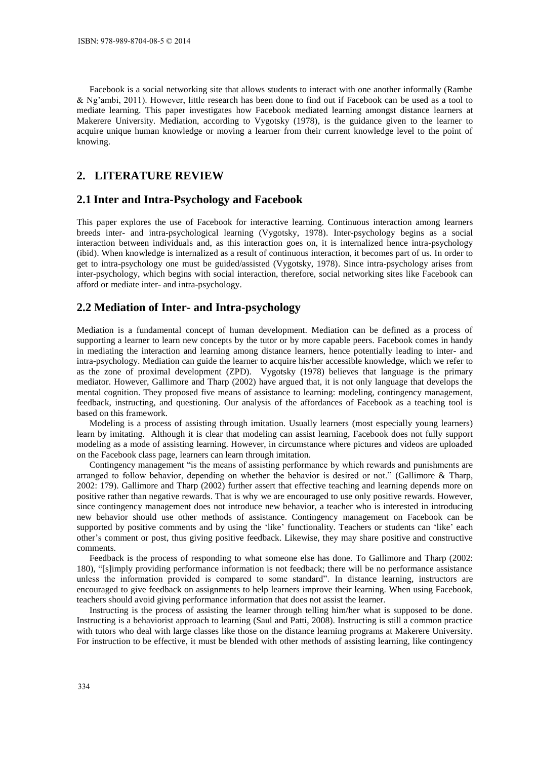Facebook is a social networking site that allows students to interact with one another informally (Rambe & Ng'ambi, 2011). However, little research has been done to find out if Facebook can be used as a tool to mediate learning. This paper investigates how Facebook mediated learning amongst distance learners at Makerere University. Mediation, according to Vygotsky (1978), is the guidance given to the learner to acquire unique human knowledge or moving a learner from their current knowledge level to the point of knowing.

## **2. LITERATURE REVIEW**

#### **2.1 Inter and Intra-Psychology and Facebook**

This paper explores the use of Facebook for interactive learning. Continuous interaction among learners breeds inter- and intra-psychological learning (Vygotsky, 1978). Inter-psychology begins as a social interaction between individuals and, as this interaction goes on, it is internalized hence intra-psychology (ibid). When knowledge is internalized as a result of continuous interaction, it becomes part of us. In order to get to intra-psychology one must be guided/assisted (Vygotsky, 1978). Since intra-psychology arises from inter-psychology, which begins with social interaction, therefore, social networking sites like Facebook can afford or mediate inter- and intra-psychology.

#### **2.2 Mediation of Inter- and Intra-psychology**

Mediation is a fundamental concept of human development. Mediation can be defined as a process of supporting a learner to learn new concepts by the tutor or by more capable peers. Facebook comes in handy in mediating the interaction and learning among distance learners, hence potentially leading to inter- and intra-psychology. Mediation can guide the learner to acquire his/her accessible knowledge, which we refer to as the zone of proximal development (ZPD). Vygotsky (1978) believes that language is the primary mediator. However, Gallimore and Tharp (2002) have argued that, it is not only language that develops the mental cognition. They proposed five means of assistance to learning: modeling, contingency management, feedback, instructing, and questioning. Our analysis of the affordances of Facebook as a teaching tool is based on this framework.

Modeling is a process of assisting through imitation. Usually learners (most especially young learners) learn by imitating. Although it is clear that modeling can assist learning, Facebook does not fully support modeling as a mode of assisting learning. However, in circumstance where pictures and videos are uploaded on the Facebook class page, learners can learn through imitation.

Contingency management "is the means of assisting performance by which rewards and punishments are arranged to follow behavior, depending on whether the behavior is desired or not." (Gallimore & Tharp, 2002: 179). Gallimore and Tharp (2002) further assert that effective teaching and learning depends more on positive rather than negative rewards. That is why we are encouraged to use only positive rewards. However, since contingency management does not introduce new behavior, a teacher who is interested in introducing new behavior should use other methods of assistance. Contingency management on Facebook can be supported by positive comments and by using the 'like' functionality. Teachers or students can 'like' each other's comment or post, thus giving positive feedback. Likewise, they may share positive and constructive comments.

Feedback is the process of responding to what someone else has done. To Gallimore and Tharp (2002: 180), "[s]imply providing performance information is not feedback; there will be no performance assistance unless the information provided is compared to some standard". In distance learning, instructors are encouraged to give feedback on assignments to help learners improve their learning. When using Facebook, teachers should avoid giving performance information that does not assist the learner.

Instructing is the process of assisting the learner through telling him/her what is supposed to be done. Instructing is a behaviorist approach to learning (Saul and Patti, 2008). Instructing is still a common practice with tutors who deal with large classes like those on the distance learning programs at Makerere University. For instruction to be effective, it must be blended with other methods of assisting learning, like contingency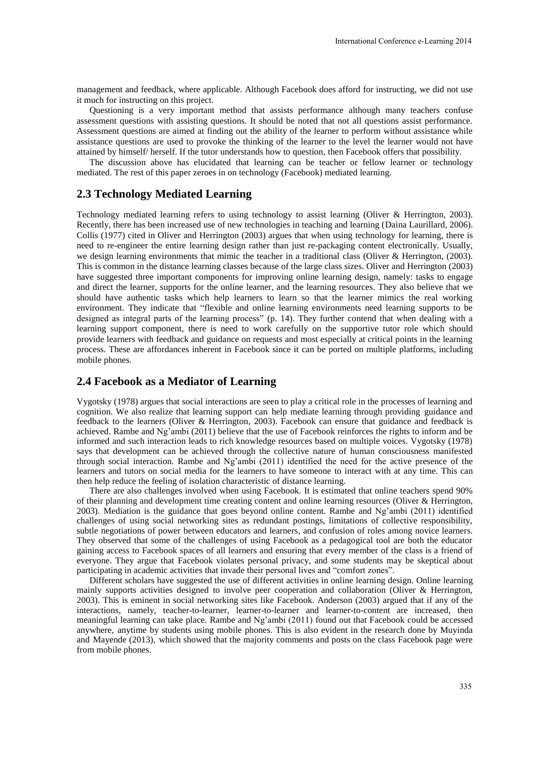management and feedback, where applicable. Although Facebook does afford for instructing, we did not use it much for instructing on this project.

Questioning is a very important method that assists performance although many teachers confuse assessment questions with assisting questions. It should be noted that not all questions assist performance. Assessment questions are aimed at finding out the ability of the learner to perform without assistance while assistance questions are used to provoke the thinking of the learner to the level the learner would not have attained by himself/ herself. If the tutor understands how to question, then Facebook offers that possibility.

The discussion above has elucidated that learning can be teacher or fellow learner or technology mediated. The rest of this paper zeroes in on technology (Facebook) mediated learning.

#### **2.3 Technology Mediated Learning**

Technology mediated learning refers to using technology to assist learning (Oliver & Herrington, 2003). Recently, there has been increased use of new technologies in teaching and learning (Daina Laurillard, 2006). Collis (1977) cited in Oliver and Herrington (2003) argues that when using technology for learning, there is need to re-engineer the entire learning design rather than just re-packaging content electronically. Usually, we design learning environments that mimic the teacher in a traditional class (Oliver & Herrington, (2003). This is common in the distance learning classes because of the large class sizes. Oliver and Herrington (2003) have suggested three important components for improving online learning design, namely: tasks to engage and direct the learner, supports for the online learner, and the learning resources. They also believe that we should have authentic tasks which help learners to learn so that the learner mimics the real working environment. They indicate that "flexible and online learning environments need learning supports to be designed as integral parts of the learning process" (p. 14). They further contend that when dealing with a learning support component, there is need to work carefully on the supportive tutor role which should provide learners with feedback and guidance on requests and most especially at critical points in the learning process. These are affordances inherent in Facebook since it can be ported on multiple platforms, including mobile phones.

## **2.4 Facebook as a Mediator of Learning**

Vygotsky (1978) argues that social interactions are seen to play a critical role in the processes of learning and cognition. We also realize that learning support can help mediate learning through providing guidance and feedback to the learners (Oliver & Herrington, 2003). Facebook can ensure that guidance and feedback is achieved. Rambe and Ng'ambi (2011) believe that the use of Facebook reinforces the rights to inform and be informed and such interaction leads to rich knowledge resources based on multiple voices. Vygotsky (1978) says that development can be achieved through the collective nature of human consciousness manifested through social interaction. Rambe and Ng'ambi (2011) identified the need for the active presence of the learners and tutors on social media for the learners to have someone to interact with at any time. This can then help reduce the feeling of isolation characteristic of distance learning.

There are also challenges involved when using Facebook. It is estimated that online teachers spend 90% of their planning and development time creating content and online learning resources (Oliver & Herrington, 2003). Mediation is the guidance that goes beyond online content. Rambe and Ng'ambi (2011) identified challenges of using social networking sites as redundant postings, limitations of collective responsibility, subtle negotiations of power between educators and learners, and confusion of roles among novice learners. They observed that some of the challenges of using Facebook as a pedagogical tool are both the educator gaining access to Facebook spaces of all learners and ensuring that every member of the class is a friend of everyone. They argue that Facebook violates personal privacy, and some students may be skeptical about participating in academic activities that invade their personal lives and "comfort zones".

Different scholars have suggested the use of different activities in online learning design. Online learning mainly supports activities designed to involve peer cooperation and collaboration (Oliver & Herrington, 2003). This is eminent in social networking sites like Facebook. Anderson (2003) argued that if any of the interactions, namely, teacher-to-learner, learner-to-learner and learner-to-content are increased, then meaningful learning can take place. Rambe and Ng'ambi (2011) found out that Facebook could be accessed anywhere, anytime by students using mobile phones. This is also evident in the research done by Muyinda and Mayende (2013), which showed that the majority comments and posts on the class Facebook page were from mobile phones.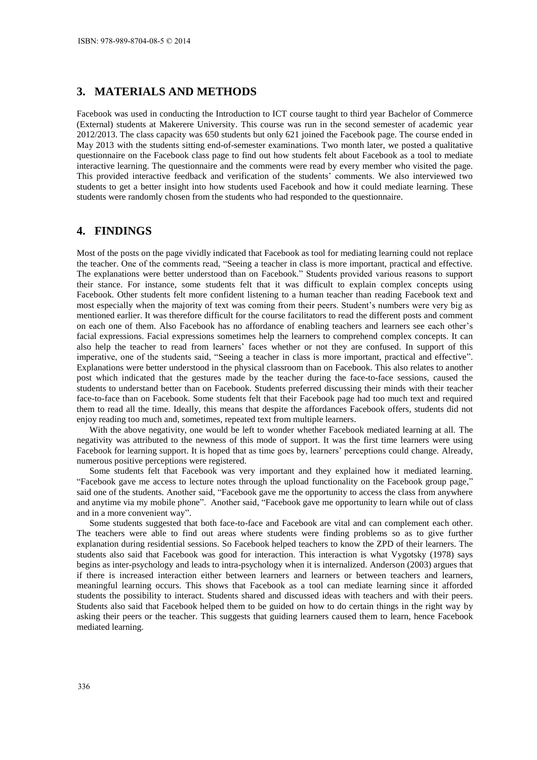# **3. MATERIALS AND METHODS**

Facebook was used in conducting the Introduction to ICT course taught to third year Bachelor of Commerce (External) students at Makerere University. This course was run in the second semester of academic year 2012/2013. The class capacity was 650 students but only 621 joined the Facebook page. The course ended in May 2013 with the students sitting end-of-semester examinations. Two month later, we posted a qualitative questionnaire on the Facebook class page to find out how students felt about Facebook as a tool to mediate interactive learning. The questionnaire and the comments were read by every member who visited the page. This provided interactive feedback and verification of the students' comments. We also interviewed two students to get a better insight into how students used Facebook and how it could mediate learning. These students were randomly chosen from the students who had responded to the questionnaire.

## **4. FINDINGS**

Most of the posts on the page vividly indicated that Facebook as tool for mediating learning could not replace the teacher. One of the comments read, "Seeing a teacher in class is more important, practical and effective. The explanations were better understood than on Facebook." Students provided various reasons to support their stance. For instance, some students felt that it was difficult to explain complex concepts using Facebook. Other students felt more confident listening to a human teacher than reading Facebook text and most especially when the majority of text was coming from their peers. Student's numbers were very big as mentioned earlier. It was therefore difficult for the course facilitators to read the different posts and comment on each one of them. Also Facebook has no affordance of enabling teachers and learners see each other's facial expressions. Facial expressions sometimes help the learners to comprehend complex concepts. It can also help the teacher to read from learners' faces whether or not they are confused. In support of this imperative, one of the students said, "Seeing a teacher in class is more important, practical and effective". Explanations were better understood in the physical classroom than on Facebook. This also relates to another post which indicated that the gestures made by the teacher during the face-to-face sessions, caused the students to understand better than on Facebook. Students preferred discussing their minds with their teacher face-to-face than on Facebook. Some students felt that their Facebook page had too much text and required them to read all the time. Ideally, this means that despite the affordances Facebook offers, students did not enjoy reading too much and, sometimes, repeated text from multiple learners.

With the above negativity, one would be left to wonder whether Facebook mediated learning at all. The negativity was attributed to the newness of this mode of support. It was the first time learners were using Facebook for learning support. It is hoped that as time goes by, learners' perceptions could change. Already, numerous positive perceptions were registered.

Some students felt that Facebook was very important and they explained how it mediated learning. "Facebook gave me access to lecture notes through the upload functionality on the Facebook group page," said one of the students. Another said, "Facebook gave me the opportunity to access the class from anywhere and anytime via my mobile phone". Another said, "Facebook gave me opportunity to learn while out of class and in a more convenient way".

Some students suggested that both face-to-face and Facebook are vital and can complement each other. The teachers were able to find out areas where students were finding problems so as to give further explanation during residential sessions. So Facebook helped teachers to know the ZPD of their learners. The students also said that Facebook was good for interaction. This interaction is what Vygotsky (1978) says begins as inter-psychology and leads to intra-psychology when it is internalized. Anderson (2003) argues that if there is increased interaction either between learners and learners or between teachers and learners, meaningful learning occurs. This shows that Facebook as a tool can mediate learning since it afforded students the possibility to interact. Students shared and discussed ideas with teachers and with their peers. Students also said that Facebook helped them to be guided on how to do certain things in the right way by asking their peers or the teacher. This suggests that guiding learners caused them to learn, hence Facebook mediated learning.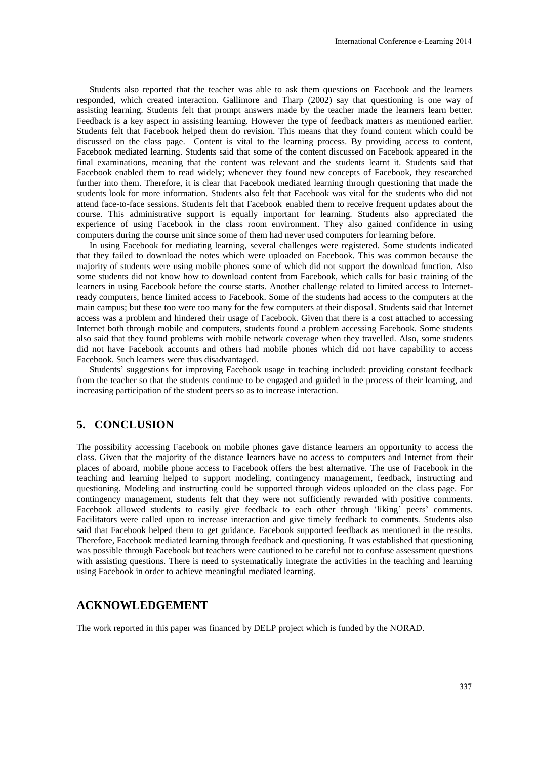Students also reported that the teacher was able to ask them questions on Facebook and the learners responded, which created interaction. Gallimore and Tharp (2002) say that questioning is one way of assisting learning. Students felt that prompt answers made by the teacher made the learners learn better. Feedback is a key aspect in assisting learning. However the type of feedback matters as mentioned earlier. Students felt that Facebook helped them do revision. This means that they found content which could be discussed on the class page. Content is vital to the learning process. By providing access to content, Facebook mediated learning. Students said that some of the content discussed on Facebook appeared in the final examinations, meaning that the content was relevant and the students learnt it. Students said that Facebook enabled them to read widely; whenever they found new concepts of Facebook, they researched further into them. Therefore, it is clear that Facebook mediated learning through questioning that made the students look for more information. Students also felt that Facebook was vital for the students who did not attend face-to-face sessions. Students felt that Facebook enabled them to receive frequent updates about the course. This administrative support is equally important for learning. Students also appreciated the experience of using Facebook in the class room environment. They also gained confidence in using computers during the course unit since some of them had never used computers for learning before.

In using Facebook for mediating learning, several challenges were registered. Some students indicated that they failed to download the notes which were uploaded on Facebook. This was common because the majority of students were using mobile phones some of which did not support the download function. Also some students did not know how to download content from Facebook, which calls for basic training of the learners in using Facebook before the course starts. Another challenge related to limited access to Internetready computers, hence limited access to Facebook. Some of the students had access to the computers at the main campus; but these too were too many for the few computers at their disposal. Students said that Internet access was a problem and hindered their usage of Facebook. Given that there is a cost attached to accessing Internet both through mobile and computers, students found a problem accessing Facebook. Some students also said that they found problems with mobile network coverage when they travelled. Also, some students did not have Facebook accounts and others had mobile phones which did not have capability to access Facebook. Such learners were thus disadvantaged.

Students' suggestions for improving Facebook usage in teaching included: providing constant feedback from the teacher so that the students continue to be engaged and guided in the process of their learning, and increasing participation of the student peers so as to increase interaction.

# **5. CONCLUSION**

The possibility accessing Facebook on mobile phones gave distance learners an opportunity to access the class. Given that the majority of the distance learners have no access to computers and Internet from their places of aboard, mobile phone access to Facebook offers the best alternative. The use of Facebook in the teaching and learning helped to support modeling, contingency management, feedback, instructing and questioning. Modeling and instructing could be supported through videos uploaded on the class page. For contingency management, students felt that they were not sufficiently rewarded with positive comments. Facebook allowed students to easily give feedback to each other through 'liking' peers' comments. Facilitators were called upon to increase interaction and give timely feedback to comments. Students also said that Facebook helped them to get guidance. Facebook supported feedback as mentioned in the results. Therefore, Facebook mediated learning through feedback and questioning. It was established that questioning was possible through Facebook but teachers were cautioned to be careful not to confuse assessment questions with assisting questions. There is need to systematically integrate the activities in the teaching and learning using Facebook in order to achieve meaningful mediated learning.

#### **ACKNOWLEDGEMENT**

The work reported in this paper was financed by DELP project which is funded by the NORAD.